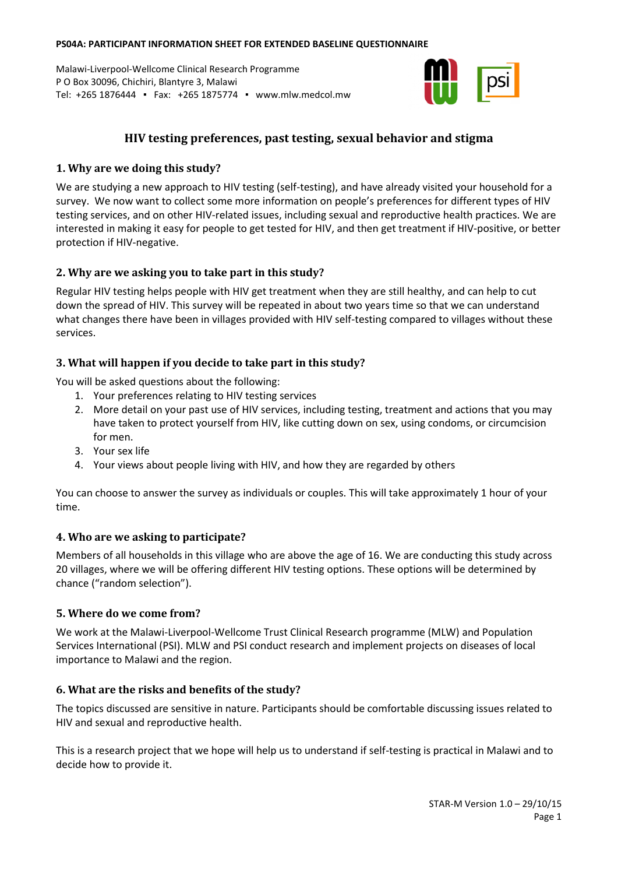#### **PS04A: PARTICIPANT INFORMATION SHEET FOR EXTENDED BASELINE QUESTIONNAIRE**

Malawi-Liverpool-Wellcome Clinical Research Programme P O Box 30096, Chichiri, Blantyre 3, Malawi Tel: +265 1876444 ▪ Fax: +265 1875774 ▪ www.mlw.medcol.mw



# **HIV testing preferences, past testing, sexual behavior and stigma**

## **1. Why are we doing this study?**

We are studying a new approach to HIV testing (self-testing), and have already visited your household for a survey. We now want to collect some more information on people's preferences for different types of HIV testing services, and on other HIV-related issues, including sexual and reproductive health practices. We are interested in making it easy for people to get tested for HIV, and then get treatment if HIV-positive, or better protection if HIV-negative.

## **2. Why are we asking you to take part in this study?**

Regular HIV testing helps people with HIV get treatment when they are still healthy, and can help to cut down the spread of HIV. This survey will be repeated in about two years time so that we can understand what changes there have been in villages provided with HIV self-testing compared to villages without these services.

### **3. What will happen if you decide to take part in this study?**

You will be asked questions about the following:

- 1. Your preferences relating to HIV testing services
- 2. More detail on your past use of HIV services, including testing, treatment and actions that you may have taken to protect yourself from HIV, like cutting down on sex, using condoms, or circumcision for men.
- 3. Your sex life
- 4. Your views about people living with HIV, and how they are regarded by others

You can choose to answer the survey as individuals or couples. This will take approximately 1 hour of your time.

## **4. Who are we asking to participate?**

Members of all households in this village who are above the age of 16. We are conducting this study across 20 villages, where we will be offering different HIV testing options. These options will be determined by chance ("random selection").

### **5. Where do we come from?**

We work at the Malawi-Liverpool-Wellcome Trust Clinical Research programme (MLW) and Population Services International (PSI). MLW and PSI conduct research and implement projects on diseases of local importance to Malawi and the region.

### **6. What are the risks and benefits of the study?**

The topics discussed are sensitive in nature. Participants should be comfortable discussing issues related to HIV and sexual and reproductive health.

This is a research project that we hope will help us to understand if self-testing is practical in Malawi and to decide how to provide it.